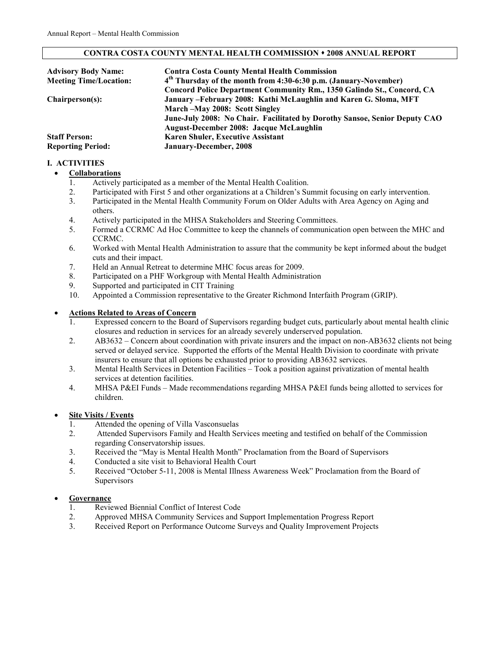#### **CONTRA COSTA COUNTY MENTAL HEALTH COMMISSION 2008 ANNUAL REPORT**

| <b>Advisory Body Name:</b>    | <b>Contra Costa County Mental Health Commission</b>                          |  |  |
|-------------------------------|------------------------------------------------------------------------------|--|--|
| <b>Meeting Time/Location:</b> | 4 <sup>th</sup> Thursday of the month from 4:30-6:30 p.m. (January-November) |  |  |
|                               | Concord Police Department Community Rm., 1350 Galindo St., Concord, CA       |  |  |
| Chairperson(s):               | January - February 2008: Kathi McLaughlin and Karen G. Sloma, MFT            |  |  |
|                               | March – May 2008: Scott Singley                                              |  |  |
|                               | June-July 2008: No Chair. Facilitated by Dorothy Sansoe, Senior Deputy CAO   |  |  |
|                               | <b>August-December 2008: Jacque McLaughlin</b>                               |  |  |
| <b>Staff Person:</b>          | <b>Karen Shuler, Executive Assistant</b>                                     |  |  |
| <b>Reporting Period:</b>      | January-December, 2008                                                       |  |  |

# **I. ACTIVITIES**

### • **Collaborations**

- 1. Actively participated as a member of the Mental Health Coalition.
- 2. Participated with First 5 and other organizations at a Children's Summit focusing on early intervention.
- 3. Participated in the Mental Health Community Forum on Older Adults with Area Agency on Aging and others.
- 4. Actively participated in the MHSA Stakeholders and Steering Committees.
- 5. Formed a CCRMC Ad Hoc Committee to keep the channels of communication open between the MHC and CCRMC.
- 6. Worked with Mental Health Administration to assure that the community be kept informed about the budget cuts and their impact.
- 7. Held an Annual Retreat to determine MHC focus areas for 2009.
- 8. Participated on a PHF Workgroup with Mental Health Administration
- 9. Supported and participated in CIT Training
- 10. Appointed a Commission representative to the Greater Richmond Interfaith Program (GRIP).

### • **Actions Related to Areas of Concern**

- 1. Expressed concern to the Board of Supervisors regarding budget cuts, particularly about mental health clinic closures and reduction in services for an already severely underserved population.
- 2. AB3632 Concern about coordination with private insurers and the impact on non-AB3632 clients not being served or delayed service. Supported the efforts of the Mental Health Division to coordinate with private insurers to ensure that all options be exhausted prior to providing AB3632 services.
- 3. Mental Health Services in Detention Facilities Took a position against privatization of mental health services at detention facilities.
- 4. MHSA P&EI Funds Made recommendations regarding MHSA P&EI funds being allotted to services for children.

# • **Site Visits / Events**

- 1. Attended the opening of Villa Vasconsuelas
- 2. Attended Supervisors Family and Health Services meeting and testified on behalf of the Commission regarding Conservatorship issues.
- 3. Received the "May is Mental Health Month" Proclamation from the Board of Supervisors
- 4. Conducted a site visit to Behavioral Health Court<br>5. Received "October 5-11, 2008 is Mental Illness A
- 5. Received "October 5-11, 2008 is Mental Illness Awareness Week" Proclamation from the Board of **Supervisors**

### • **Governance**

- 1. Reviewed Biennial Conflict of Interest Code
- 2. Approved MHSA Community Services and Support Implementation Progress Report
- 3. Received Report on Performance Outcome Surveys and Quality Improvement Projects